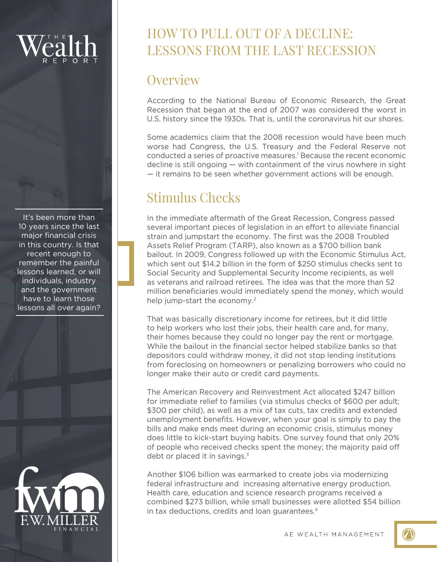It's been more than 10 years since the last major financial crisis in this country. Is that recent enough to remember the painful lessons learned, or will individuals, industry and the government have to learn those lessons all over again?



## HOW TO PULL OUT OF A DECLINE: LESSONS FROM THE LAST RECESSION

### **Overview**

According to the National Bureau of Economic Research, the Great Recession that began at the end of 2007 was considered the worst in U.S. history since the 1930s. That is, until the coronavirus hit our shores.

Some academics claim that the 2008 recession would have been much worse had Congress, the U.S. Treasury and the Federal Reserve not conducted a series of proactive measures.<sup>1</sup> Because the recent economic decline is still ongoing — with containment of the virus nowhere in sight — it remains to be seen whether government actions will be enough.

# Stimulus Checks

In the immediate aftermath of the Great Recession, Congress passed several important pieces of legislation in an effort to alleviate financial strain and jumpstart the economy. The first was the 2008 Troubled Assets Relief Program (TARP), also known as a \$700 billion bank bailout. In 2009, Congress followed up with the Economic Stimulus Act, which sent out \$14.2 billion in the form of \$250 stimulus checks sent to Social Security and Supplemental Security Income recipients, as well as veterans and railroad retirees. The idea was that the more than 52 million beneficiaries would immediately spend the money, which would help jump-start the economy.<sup>2</sup>

That was basically discretionary income for retirees, but it did little to help workers who lost their jobs, their health care and, for many, their homes because they could no longer pay the rent or mortgage. While the bailout in the financial sector helped stabilize banks so that depositors could withdraw money, it did not stop lending institutions from foreclosing on homeowners or penalizing borrowers who could no longer make their auto or credit card payments.

The American Recovery and Reinvestment Act allocated \$247 billion for immediate relief to families (via stimulus checks of \$600 per adult; \$300 per child), as well as a mix of tax cuts, tax credits and extended unemployment benefits. However, when your goal is simply to pay the bills and make ends meet during an economic crisis, stimulus money does little to kick-start buying habits. One survey found that only 20% of people who received checks spent the money; the majority paid off debt or placed it in savings. $3$ 

Another \$106 billion was earmarked to create jobs via modernizing federal infrastructure and increasing alternative energy production. Health care, education and science research programs received a combined \$273 billion, while small businesses were allotted \$54 billion in tax deductions, credits and loan quarantees.<sup>4</sup>

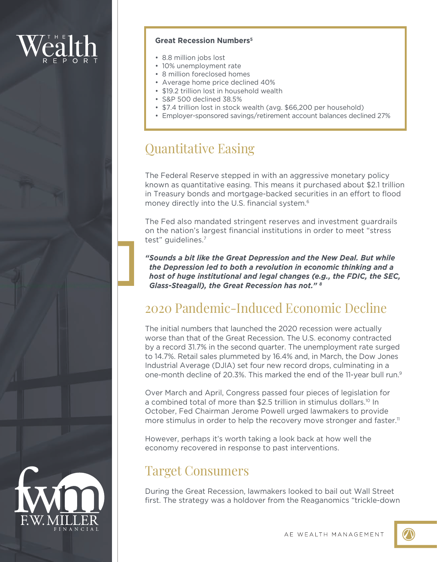### **Great Recession Numbers5**

- 8.8 million jobs lost
- 10% unemployment rate
- 8 million foreclosed homes
- Average home price declined 40%
- \$19.2 trillion lost in household wealth
- S&P 500 declined 38.5%
- \$7.4 trillion lost in stock wealth (avg. \$66,200 per household)
- Employer-sponsored savings/retirement account balances declined 27%

### Quantitative Easing

The Federal Reserve stepped in with an aggressive monetary policy known as quantitative easing. This means it purchased about \$2.1 trillion in Treasury bonds and mortgage-backed securities in an effort to flood money directly into the U.S. financial system.<sup>6</sup>

The Fed also mandated stringent reserves and investment guardrails on the nation's largest financial institutions in order to meet "stress test" guidelines.7

*"Sounds a bit like the Great Depression and the New Deal. But while the Depression led to both a revolution in economic thinking and a host of huge institutional and legal changes (e.g., the FDIC, the SEC, Glass-Steagall), the Great Recession has not." 8*

### 2020 Pandemic-Induced Economic Decline

The initial numbers that launched the 2020 recession were actually worse than that of the Great Recession. The U.S. economy contracted by a record 31.7% in the second quarter. The unemployment rate surged to 14.7%. Retail sales plummeted by 16.4% and, in March, the Dow Jones Industrial Average (DJIA) set four new record drops, culminating in a one-month decline of 20.3%. This marked the end of the 11-year bull run.9

Over March and April, Congress passed four pieces of legislation for a combined total of more than \$2.5 trillion in stimulus dollars.<sup>10</sup> In October, Fed Chairman Jerome Powell urged lawmakers to provide more stimulus in order to help the recovery move stronger and faster.<sup>11</sup>

However, perhaps it's worth taking a look back at how well the economy recovered in response to past interventions.

### Target Consumers

During the Great Recession, lawmakers looked to bail out Wall Street first. The strategy was a holdover from the Reaganomics "trickle-down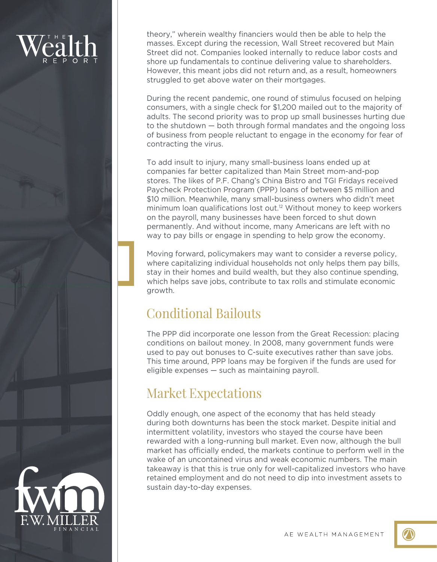theory," wherein wealthy financiers would then be able to help the masses. Except during the recession, Wall Street recovered but Main Street did not. Companies looked internally to reduce labor costs and shore up fundamentals to continue delivering value to shareholders. However, this meant jobs did not return and, as a result, homeowners struggled to get above water on their mortgages.

During the recent pandemic, one round of stimulus focused on helping consumers, with a single check for \$1,200 mailed out to the majority of adults. The second priority was to prop up small businesses hurting due to the shutdown — both through formal mandates and the ongoing loss of business from people reluctant to engage in the economy for fear of contracting the virus.

To add insult to injury, many small-business loans ended up at companies far better capitalized than Main Street mom-and-pop stores. The likes of P.F. Chang's China Bistro and TGI Fridays received Paycheck Protection Program (PPP) loans of between \$5 million and \$10 million. Meanwhile, many small-business owners who didn't meet minimum loan qualifications lost out.<sup>12</sup> Without money to keep workers on the payroll, many businesses have been forced to shut down permanently. And without income, many Americans are left with no way to pay bills or engage in spending to help grow the economy.

Moving forward, policymakers may want to consider a reverse policy, where capitalizing individual households not only helps them pay bills, stay in their homes and build wealth, but they also continue spending, which helps save jobs, contribute to tax rolls and stimulate economic growth.

# Conditional Bailouts

The PPP did incorporate one lesson from the Great Recession: placing conditions on bailout money. In 2008, many government funds were used to pay out bonuses to C-suite executives rather than save jobs. This time around, PPP loans may be forgiven if the funds are used for eligible expenses — such as maintaining payroll.

### Market Expectations

Oddly enough, one aspect of the economy that has held steady during both downturns has been the stock market. Despite initial and intermittent volatility, investors who stayed the course have been rewarded with a long-running bull market. Even now, although the bull market has officially ended, the markets continue to perform well in the wake of an uncontained virus and weak economic numbers. The main takeaway is that this is true only for well-capitalized investors who have retained employment and do not need to dip into investment assets to sustain day-to-day expenses.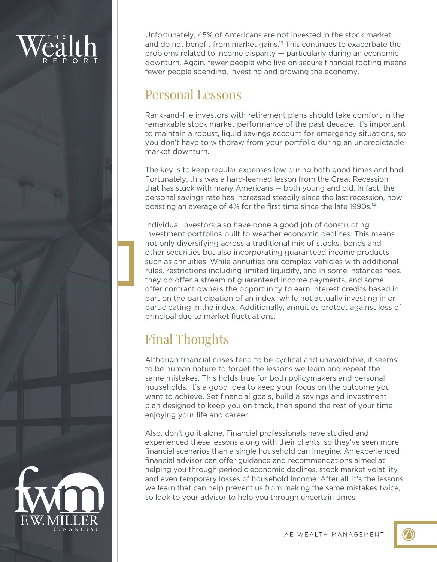Unfortunately, 45% of Americans are not invested in the stock market and do not benefit from market gains.13 This continues to exacerbate the problems related to income disparity — particularly during an economic downturn. Again, fewer people who live on secure financial footing means fewer people spending, investing and growing the economy.

### Personal Lessons

Rank-and-file investors with retirement plans should take comfort in the remarkable stock market performance of the past decade. It's important to maintain a robust, liquid savings account for emergency situations, so you don't have to withdraw from your portfolio during an unpredictable market downturn.

The key is to keep regular expenses low during both good times and bad. Fortunately, this was a hard-learned lesson from the Great Recession that has stuck with many Americans — both young and old. In fact, the personal savings rate has increased steadily since the last recession, now boasting an average of 4% for the first time since the late 1990s.<sup>14</sup>

Individual investors also have done a good job of constructing investment portfolios built to weather economic declines. This means not only diversifying across a traditional mix of stocks, bonds and other securities but also incorporating guaranteed income products such as annuities. While annuities are complex vehicles with additional rules, restrictions including limited liquidity, and in some instances fees, they do offer a stream of guaranteed income payments, and some offer contract owners the opportunity to earn interest credits based in part on the participation of an index, while not actually investing in or participating in the index. Additionally, annuities protect against loss of principal due to market fluctuations.

# Final Thoughts

Although financial crises tend to be cyclical and unavoidable, it seems to be human nature to forget the lessons we learn and repeat the same mistakes. This holds true for both policymakers and personal households. It's a good idea to keep your focus on the outcome you want to achieve. Set financial goals, build a savings and investment plan designed to keep you on track, then spend the rest of your time enjoying your life and career.

Also, don't go it alone. Financial professionals have studied and experienced these lessons along with their clients, so they've seen more financial scenarios than a single household can imagine. An experienced financial advisor can offer guidance and recommendations aimed at helping you through periodic economic declines, stock market volatility and even temporary losses of household income. After all, it's the lessons we learn that can help prevent us from making the same mistakes twice, so look to your advisor to help you through uncertain times.